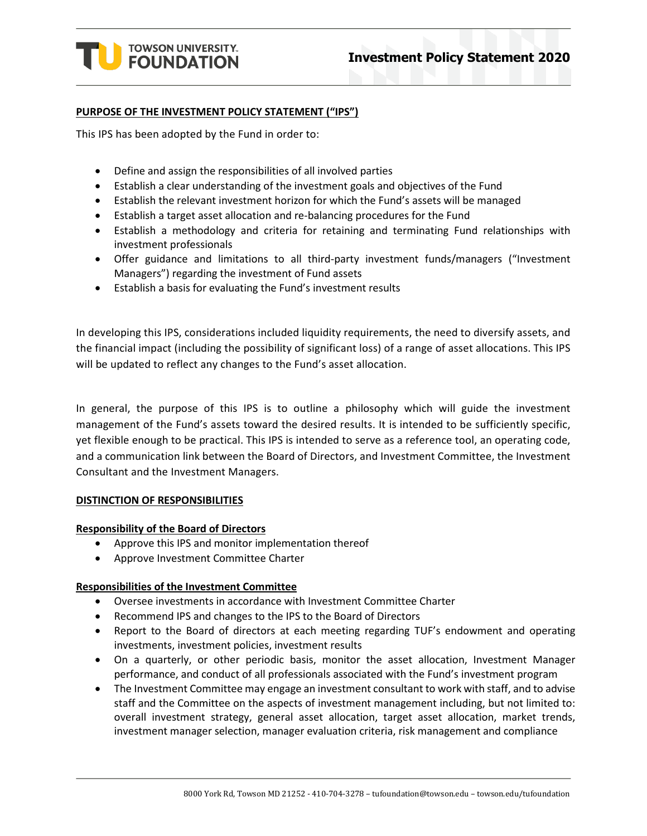

#### **PURPOSE OF THE INVESTMENT POLICY STATEMENT ("IPS")**

This IPS has been adopted by the Fund in order to:

- Define and assign the responsibilities of all involved parties
- Establish a clear understanding of the investment goals and objectives of the Fund
- Establish the relevant investment horizon for which the Fund's assets will be managed
- Establish a target asset allocation and re-balancing procedures for the Fund
- Establish a methodology and criteria for retaining and terminating Fund relationships with investment professionals
- Offer guidance and limitations to all third-party investment funds/managers ("Investment Managers") regarding the investment of Fund assets
- Establish a basis for evaluating the Fund's investment results

In developing this IPS, considerations included liquidity requirements, the need to diversify assets, and the financial impact (including the possibility of significant loss) of a range of asset allocations. This IPS will be updated to reflect any changes to the Fund's asset allocation.

In general, the purpose of this IPS is to outline a philosophy which will guide the investment management of the Fund's assets toward the desired results. It is intended to be sufficiently specific, yet flexible enough to be practical. This IPS is intended to serve as a reference tool, an operating code, and a communication link between the Board of Directors, and Investment Committee, the Investment Consultant and the Investment Managers.

#### **DISTINCTION OF RESPONSIBILITIES**

#### **Responsibility of the Board of Directors**

- Approve this IPS and monitor implementation thereof
- Approve Investment Committee Charter

#### **Responsibilities of the Investment Committee**

- Oversee investments in accordance with Investment Committee Charter
- Recommend IPS and changes to the IPS to the Board of Directors
- Report to the Board of directors at each meeting regarding TUF's endowment and operating investments, investment policies, investment results
- On a quarterly, or other periodic basis, monitor the asset allocation, Investment Manager performance, and conduct of all professionals associated with the Fund's investment program
- The Investment Committee may engage an investment consultant to work with staff, and to advise staff and the Committee on the aspects of investment management including, but not limited to: overall investment strategy, general asset allocation, target asset allocation, market trends, investment manager selection, manager evaluation criteria, risk management and compliance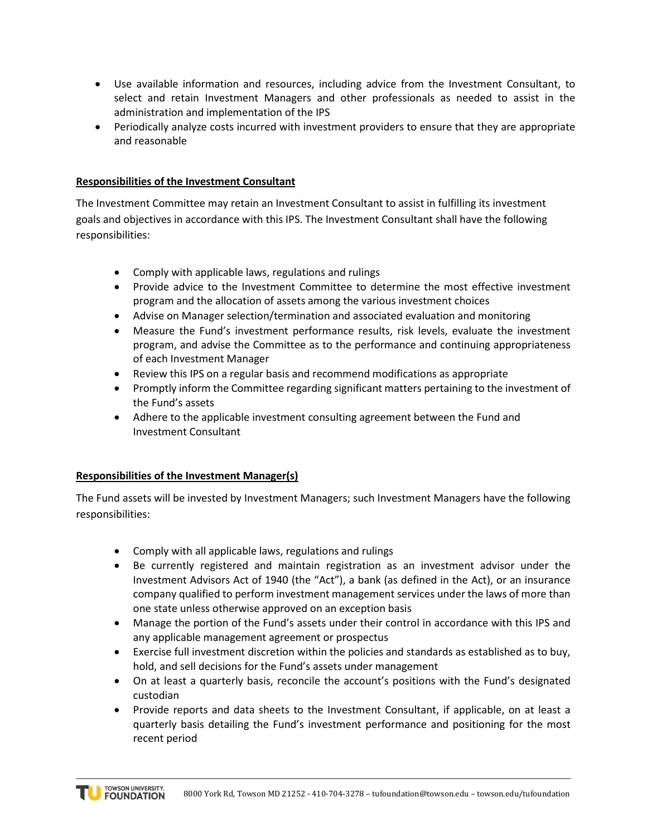- Use available information and resources, including advice from the Investment Consultant, to select and retain Investment Managers and other professionals as needed to assist in the administration and implementation of the IPS
- Periodically analyze costs incurred with investment providers to ensure that they are appropriate and reasonable

### **Responsibilities of the Investment Consultant**

The Investment Committee may retain an Investment Consultant to assist in fulfilling its investment goals and objectives in accordance with this IPS. The Investment Consultant shall have the following responsibilities:

- Comply with applicable laws, regulations and rulings
- Provide advice to the Investment Committee to determine the most effective investment program and the allocation of assets among the various investment choices
- Advise on Manager selection/termination and associated evaluation and monitoring
- Measure the Fund's investment performance results, risk levels, evaluate the investment program, and advise the Committee as to the performance and continuing appropriateness of each Investment Manager
- Review this IPS on a regular basis and recommend modifications as appropriate
- Promptly inform the Committee regarding significant matters pertaining to the investment of the Fund's assets
- Adhere to the applicable investment consulting agreement between the Fund and Investment Consultant

### **Responsibilities of the Investment Manager(s)**

The Fund assets will be invested by Investment Managers; such Investment Managers have the following responsibilities:

- Comply with all applicable laws, regulations and rulings
- Be currently registered and maintain registration as an investment advisor under the Investment Advisors Act of 1940 (the "Act"), a bank (as defined in the Act), or an insurance company qualified to perform investment management services under the laws of more than one state unless otherwise approved on an exception basis
- Manage the portion of the Fund's assets under their control in accordance with this IPS and any applicable management agreement or prospectus
- Exercise full investment discretion within the policies and standards as established as to buy, hold, and sell decisions for the Fund's assets under management
- On at least a quarterly basis, reconcile the account's positions with the Fund's designated custodian
- Provide reports and data sheets to the Investment Consultant, if applicable, on at least a quarterly basis detailing the Fund's investment performance and positioning for the most recent period

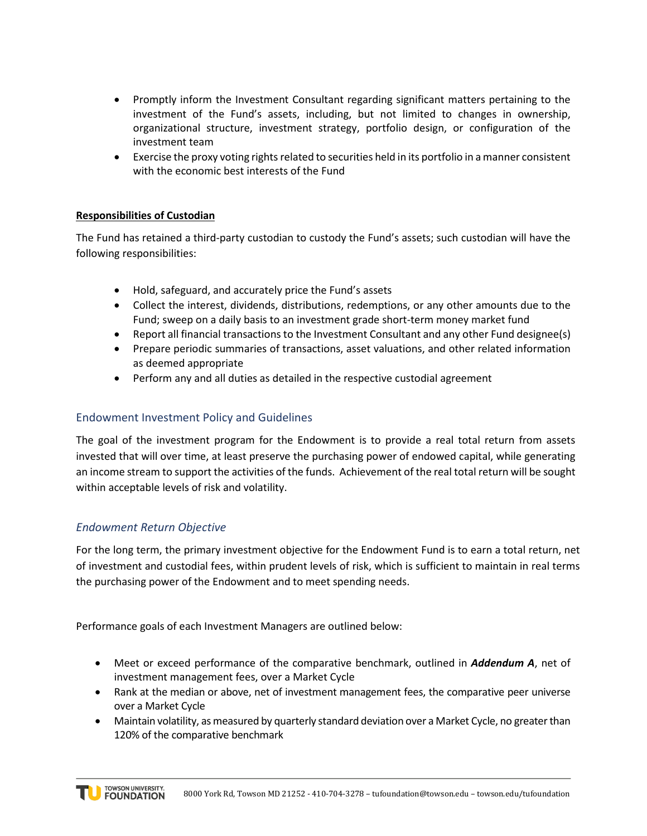- Promptly inform the Investment Consultant regarding significant matters pertaining to the investment of the Fund's assets, including, but not limited to changes in ownership, organizational structure, investment strategy, portfolio design, or configuration of the investment team
- Exercise the proxy voting rights related to securities held in its portfolio in a manner consistent with the economic best interests of the Fund

# **Responsibilities of Custodian**

The Fund has retained a third-party custodian to custody the Fund's assets; such custodian will have the following responsibilities:

- Hold, safeguard, and accurately price the Fund's assets
- Collect the interest, dividends, distributions, redemptions, or any other amounts due to the Fund; sweep on a daily basis to an investment grade short-term money market fund
- Report all financial transactions to the Investment Consultant and any other Fund designee(s)
- Prepare periodic summaries of transactions, asset valuations, and other related information as deemed appropriate
- Perform any and all duties as detailed in the respective custodial agreement

# Endowment Investment Policy and Guidelines

The goal of the investment program for the Endowment is to provide a real total return from assets invested that will over time, at least preserve the purchasing power of endowed capital, while generating an income stream to support the activities of the funds. Achievement of the real total return will be sought within acceptable levels of risk and volatility.

# *Endowment Return Objective*

For the long term, the primary investment objective for the Endowment Fund is to earn a total return, net of investment and custodial fees, within prudent levels of risk, which is sufficient to maintain in real terms the purchasing power of the Endowment and to meet spending needs.

Performance goals of each Investment Managers are outlined below:

- Meet or exceed performance of the comparative benchmark, outlined in *Addendum A*, net of investment management fees, over a Market Cycle
- Rank at the median or above, net of investment management fees, the comparative peer universe over a Market Cycle
- Maintain volatility, as measured by quarterly standard deviation over a Market Cycle, no greater than 120% of the comparative benchmark

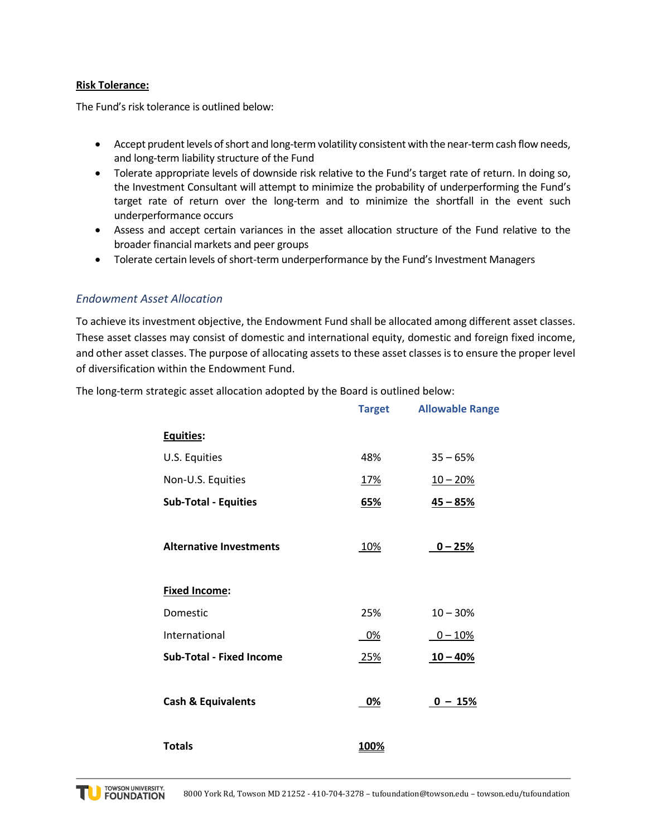#### **Risk Tolerance:**

The Fund's risk tolerance is outlined below:

- Accept prudent levels of short and long-term volatility consistent with the near-term cash flow needs, and long-term liability structure of the Fund
- Tolerate appropriate levels of downside risk relative to the Fund's target rate of return. In doing so, the Investment Consultant will attempt to minimize the probability of underperforming the Fund's target rate of return over the long-term and to minimize the shortfall in the event such underperformance occurs
- Assess and accept certain variances in the asset allocation structure of the Fund relative to the broader financial markets and peer groups
- Tolerate certain levels of short-term underperformance by the Fund's Investment Managers

## *Endowment Asset Allocation*

To achieve its investment objective, the Endowment Fund shall be allocated among different asset classes. These asset classes may consist of domestic and international equity, domestic and foreign fixed income, and other asset classes. The purpose of allocating assets to these asset classes is to ensure the proper level of diversification within the Endowment Fund.

**Target Allowable Range Equities:**

The long-term strategic asset allocation adopted by the Board is outlined below:

| <u>Equities:</u>                |              |            |
|---------------------------------|--------------|------------|
| U.S. Equities                   | 48%          | $35 - 65%$ |
| Non-U.S. Equities               | <u>17%</u>   | $10 - 20%$ |
| <b>Sub-Total - Equities</b>     | <u>65%</u>   | $45 - 85%$ |
| <b>Alternative Investments</b>  | <u>10%</u>   | $0 - 25%$  |
| <b>Fixed Income:</b>            |              |            |
| Domestic                        | 25%          | $10 - 30%$ |
| International                   | 0%           | $0 - 10%$  |
| <b>Sub-Total - Fixed Income</b> | 25%          | $10 - 40%$ |
|                                 |              |            |
| <b>Cash &amp; Equivalents</b>   | <u>0%</u>    | $0 - 15%$  |
|                                 |              |            |
| <b>Totals</b>                   | <u> 100%</u> |            |

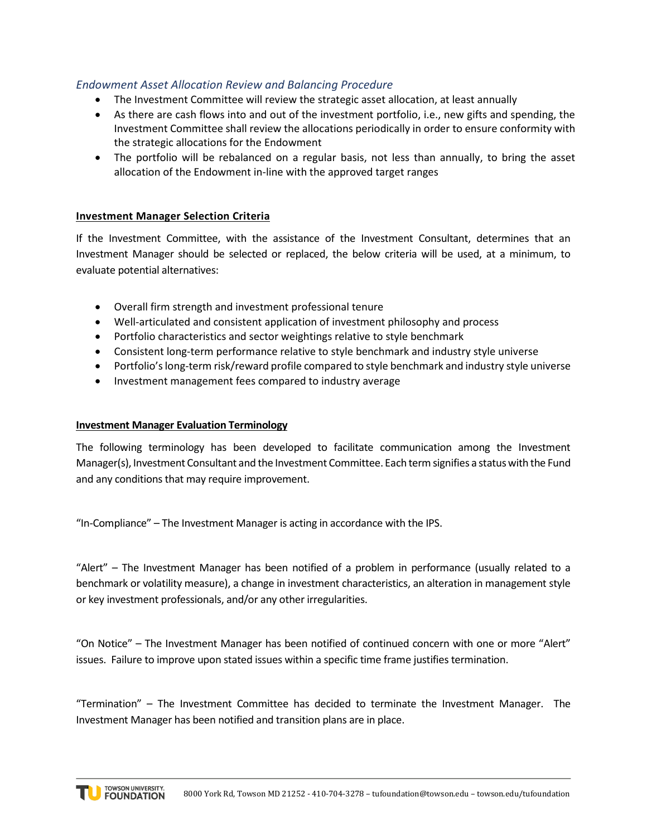# *Endowment Asset Allocation Review and Balancing Procedure*

- The Investment Committee will review the strategic asset allocation, at least annually
- As there are cash flows into and out of the investment portfolio, i.e., new gifts and spending, the Investment Committee shall review the allocations periodically in order to ensure conformity with the strategic allocations for the Endowment
- The portfolio will be rebalanced on a regular basis, not less than annually, to bring the asset allocation of the Endowment in-line with the approved target ranges

## **Investment Manager Selection Criteria**

If the Investment Committee, with the assistance of the Investment Consultant, determines that an Investment Manager should be selected or replaced, the below criteria will be used, at a minimum, to evaluate potential alternatives:

- Overall firm strength and investment professional tenure
- Well-articulated and consistent application of investment philosophy and process
- Portfolio characteristics and sector weightings relative to style benchmark
- Consistent long-term performance relative to style benchmark and industry style universe
- Portfolio's long-term risk/reward profile compared to style benchmark and industry style universe
- Investment management fees compared to industry average

### **Investment Manager Evaluation Terminology**

The following terminology has been developed to facilitate communication among the Investment Manager(s), Investment Consultant and the Investment Committee. Each term signifies a status with the Fund and any conditions that may require improvement.

"In-Compliance" – The Investment Manager is acting in accordance with the IPS.

"Alert" – The Investment Manager has been notified of a problem in performance (usually related to a benchmark or volatility measure), a change in investment characteristics, an alteration in management style or key investment professionals, and/or any other irregularities.

"On Notice" – The Investment Manager has been notified of continued concern with one or more "Alert" issues. Failure to improve upon stated issues within a specific time frame justifies termination.

"Termination" – The Investment Committee has decided to terminate the Investment Manager. The Investment Manager has been notified and transition plans are in place.

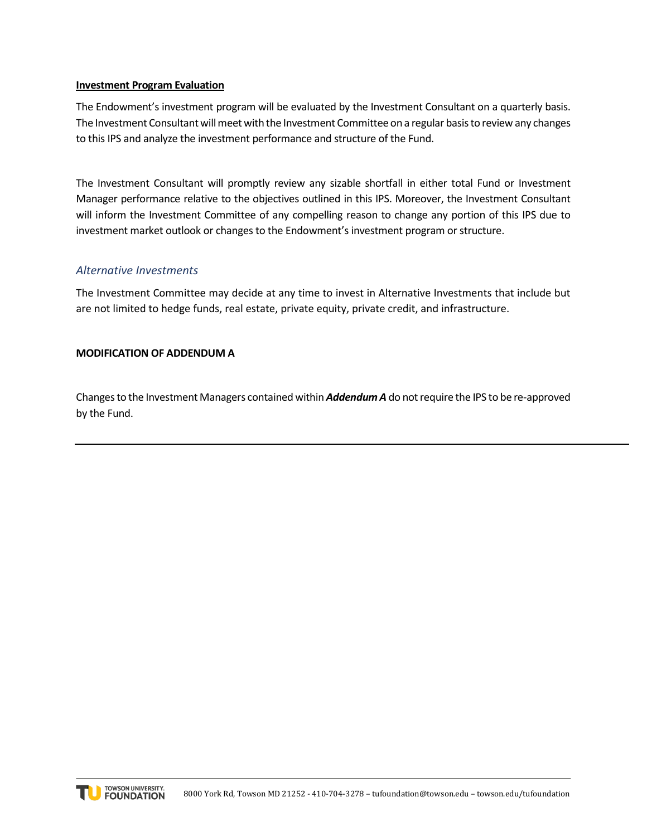### **Investment Program Evaluation**

The Endowment's investment program will be evaluated by the Investment Consultant on a quarterly basis. The Investment Consultant will meet with the Investment Committee on a regular basis to review any changes to this IPS and analyze the investment performance and structure of the Fund.

The Investment Consultant will promptly review any sizable shortfall in either total Fund or Investment Manager performance relative to the objectives outlined in this IPS. Moreover, the Investment Consultant will inform the Investment Committee of any compelling reason to change any portion of this IPS due to investment market outlook or changes to the Endowment's investment program or structure.

### *Alternative Investments*

The Investment Committee may decide at any time to invest in Alternative Investments that include but are not limited to hedge funds, real estate, private equity, private credit, and infrastructure.

#### **MODIFICATION OF ADDENDUM A**

Changes to the Investment Managers contained within *Addendum A* do not require the IPS to be re-approved by the Fund.

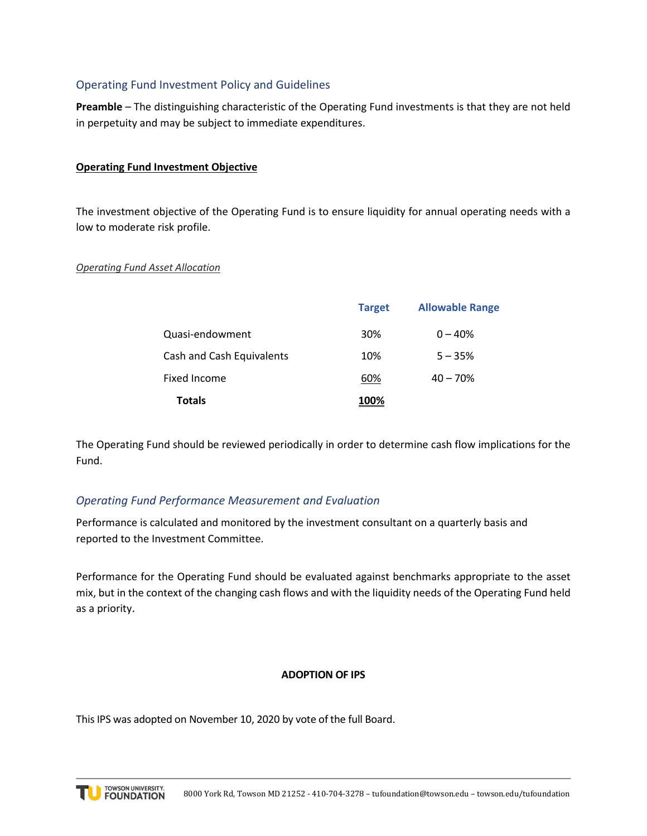# Operating Fund Investment Policy and Guidelines

**Preamble** – The distinguishing characteristic of the Operating Fund investments is that they are not held in perpetuity and may be subject to immediate expenditures.

### **Operating Fund Investment Objective**

The investment objective of the Operating Fund is to ensure liquidity for annual operating needs with a low to moderate risk profile.

### *Operating Fund Asset Allocation*

|                           | <b>Target</b> | <b>Allowable Range</b> |
|---------------------------|---------------|------------------------|
| Quasi-endowment           | 30%           | $0 - 40%$              |
| Cash and Cash Equivalents | 10%           | $5 - 35%$              |
| Fixed Income              | 60%           | $40 - 70%$             |
| <b>Totals</b>             | 100%          |                        |

The Operating Fund should be reviewed periodically in order to determine cash flow implications for the Fund.

## *Operating Fund Performance Measurement and Evaluation*

Performance is calculated and monitored by the investment consultant on a quarterly basis and reported to the Investment Committee.

Performance for the Operating Fund should be evaluated against benchmarks appropriate to the asset mix, but in the context of the changing cash flows and with the liquidity needs of the Operating Fund held as a priority.

### **ADOPTION OF IPS**

This IPS was adopted on November 10, 2020 by vote of the full Board.